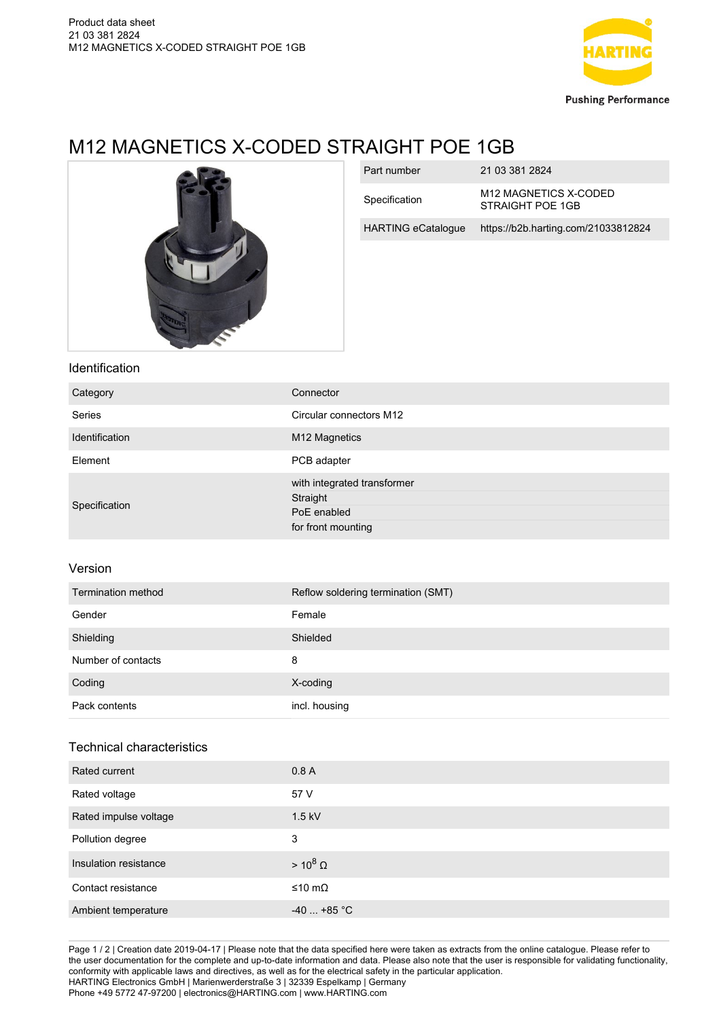

# M12 MAGNETICS X-CODED STRAIGHT POE 1GB



| Part number               | 21 03 381 2824                                        |
|---------------------------|-------------------------------------------------------|
| Specification             | M <sub>12</sub> MAGNETICS X-CODED<br>STRAIGHT POF 1GB |
| <b>HARTING eCatalogue</b> | https://b2b.harting.com/21033812824                   |

### Identification

| Category              | Connector                   |
|-----------------------|-----------------------------|
| <b>Series</b>         | Circular connectors M12     |
| <b>Identification</b> | M12 Magnetics               |
| Element               | PCB adapter                 |
|                       | with integrated transformer |
| Specification         | Straight                    |
|                       | PoE enabled                 |
|                       | for front mounting          |

### Version

| Termination method | Reflow soldering termination (SMT) |
|--------------------|------------------------------------|
| Gender             | Female                             |
| Shielding          | Shielded                           |
| Number of contacts | 8                                  |
| Coding             | X-coding                           |
| Pack contents      | incl. housing                      |

## Technical characteristics

| Rated current         | 0.8A            |
|-----------------------|-----------------|
| Rated voltage         | 57 V            |
| Rated impulse voltage | $1.5$ kV        |
| Pollution degree      | 3               |
| Insulation resistance | $> 10^8 \Omega$ |
| Contact resistance    | ≤10 mΩ          |
| Ambient temperature   | $-40+85$ °C     |

Page 1 / 2 | Creation date 2019-04-17 | Please note that the data specified here were taken as extracts from the online catalogue. Please refer to the user documentation for the complete and up-to-date information and data. Please also note that the user is responsible for validating functionality, conformity with applicable laws and directives, as well as for the electrical safety in the particular application. HARTING Electronics GmbH | Marienwerderstraße 3 | 32339 Espelkamp | Germany Phone +49 5772 47-97200 | electronics@HARTING.com | www.HARTING.com